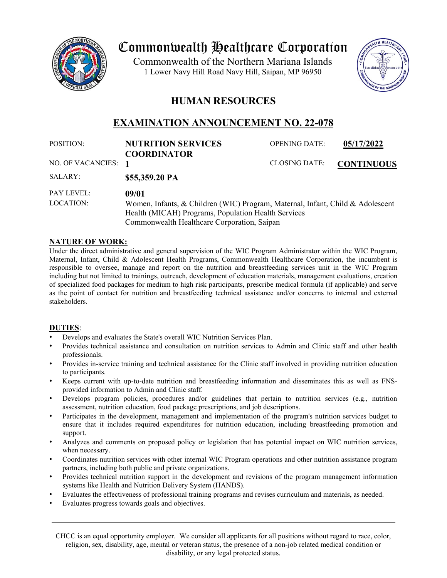

# Commonwealth Healthcare Corporation

 1 Lower Navy Hill Road Navy Hill, Saipan, MP 96950Commonwealth of the Northern Mariana Islands



# **HUMAN RESOURCES**

# **EXAMINATION ANNOUNCEMENT NO. 22-078**

| POSITION:           | <b>NUTRITION SERVICES</b>                                                      | <b>OPENING DATE:</b> | 05/17/2022        |
|---------------------|--------------------------------------------------------------------------------|----------------------|-------------------|
|                     | <b>COORDINATOR</b>                                                             |                      |                   |
| NO. OF VACANCIES: 1 |                                                                                | <b>CLOSING DATE:</b> | <b>CONTINUOUS</b> |
| SALARY:             | \$55,359.20 PA                                                                 |                      |                   |
| <b>PAY LEVEL:</b>   | 09/01                                                                          |                      |                   |
| LOCATION:           | Women, Infants, & Children (WIC) Program, Maternal, Infant, Child & Adolescent |                      |                   |
|                     | Health (MICAH) Programs, Population Health Services                            |                      |                   |
|                     | Commonwealth Healthcare Corporation, Saipan                                    |                      |                   |

## **NATURE OF WORK:**

Under the direct administrative and general supervision of the WIC Program Administrator within the WIC Program, Maternal, Infant, Child & Adolescent Health Programs, Commonwealth Healthcare Corporation, the incumbent is responsible to oversee, manage and report on the nutrition and breastfeeding services unit in the WIC Program including but not limited to trainings, outreach, development of education materials, management evaluations, creation of specialized food packages for medium to high risk participants, prescribe medical formula (if applicable) and serve as the point of contact for nutrition and breastfeeding technical assistance and/or concerns to internal and external stakeholders.

# **DUTIES**:

- Develops and evaluates the State's overall WIC Nutrition Services Plan.
- Provides technical assistance and consultation on nutrition services to Admin and Clinic staff and other health professionals.
- Provides in-service training and technical assistance for the Clinic staff involved in providing nutrition education to participants.
- Keeps current with up-to-date nutrition and breastfeeding information and disseminates this as well as FNSprovided information to Admin and Clinic staff.
- Develops program policies, procedures and/or guidelines that pertain to nutrition services (e.g., nutrition assessment, nutrition education, food package prescriptions, and job descriptions.
- Participates in the development, management and implementation of the program's nutrition services budget to ensure that it includes required expenditures for nutrition education, including breastfeeding promotion and support.
- Analyzes and comments on proposed policy or legislation that has potential impact on WIC nutrition services, when necessary.
- Coordinates nutrition services with other internal WIC Program operations and other nutrition assistance program partners, including both public and private organizations.
- Provides technical nutrition support in the development and revisions of the program management information systems like Health and Nutrition Delivery System (HANDS).
- Evaluates the effectiveness of professional training programs and revises curriculum and materials, as needed.
- Evaluates progress towards goals and objectives.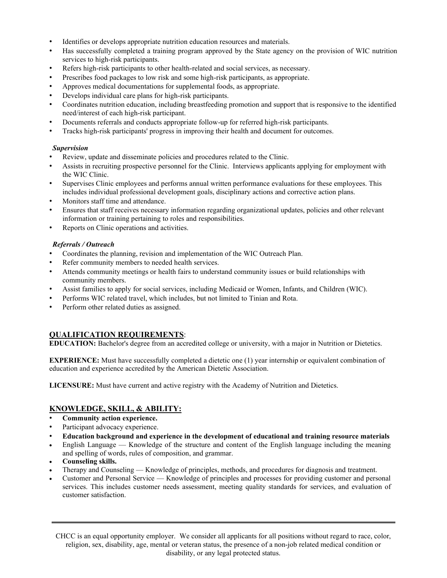- Identifies or develops appropriate nutrition education resources and materials.
- Has successfully completed a training program approved by the State agency on the provision of WIC nutrition services to high-risk participants.
- Refers high-risk participants to other health-related and social services, as necessary.
- Prescribes food packages to low risk and some high-risk participants, as appropriate.
- Approves medical documentations for supplemental foods, as appropriate.
- Develops individual care plans for high-risk participants.
- Coordinates nutrition education, including breastfeeding promotion and support that is responsive to the identified need/interest of each high-risk participant.
- Documents referrals and conducts appropriate follow-up for referred high-risk participants.
- Tracks high-risk participants' progress in improving their health and document for outcomes.

#### *Supervision*

- Review, update and disseminate policies and procedures related to the Clinic.
- Assists in recruiting prospective personnel for the Clinic. Interviews applicants applying for employment with the WIC Clinic.
- Supervises Clinic employees and performs annual written performance evaluations for these employees. This includes individual professional development goals, disciplinary actions and corrective action plans.
- Monitors staff time and attendance.
- Ensures that staff receives necessary information regarding organizational updates, policies and other relevant information or training pertaining to roles and responsibilities.
- Reports on Clinic operations and activities.

## *Referrals / Outreach*

- Coordinates the planning, revision and implementation of the WIC Outreach Plan.
- Refer community members to needed health services.
- Attends community meetings or health fairs to understand community issues or build relationships with community members.
- Assist families to apply for social services, including Medicaid or Women, Infants, and Children (WIC).
- Performs WIC related travel, which includes, but not limited to Tinian and Rota.
- Perform other related duties as assigned.

# **QUALIFICATION REQUIREMENTS**:

**EDUCATION:** Bachelor's degree from an accredited college or university, with a major in Nutrition or Dietetics.

**EXPERIENCE:** Must have successfully completed a dietetic one (1) year internship or equivalent combination of education and experience accredited by the American Dietetic Association.

**LICENSURE:** Must have current and active registry with the Academy of Nutrition and Dietetics.

# **KNOWLEDGE, SKILL, & ABILITY:**

- **Community action experience.**
- Participant advocacy experience.
- **Education background and experience in the development of educational and training resource materials**
- English Language Knowledge of the structure and content of the English language including the meaning and spelling of words, rules of composition, and grammar.
- **Counseling skills.**
- Therapy and Counseling Knowledge of principles, methods, and procedures for diagnosis and treatment.
- Customer and Personal Service Knowledge of principles and processes for providing customer and personal services. This includes customer needs assessment, meeting quality standards for services, and evaluation of customer satisfaction.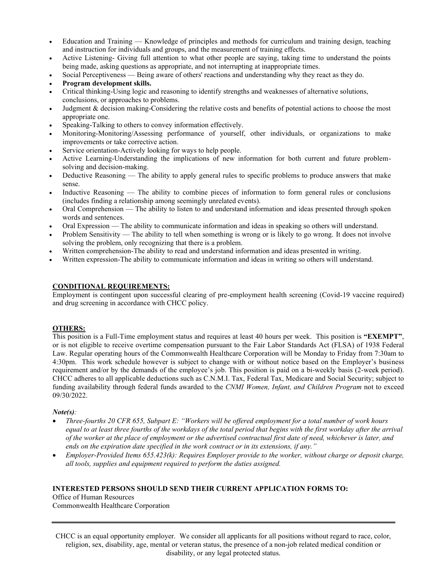- Education and Training Knowledge of principles and methods for curriculum and training design, teaching and instruction for individuals and groups, and the measurement of training effects.
- Active Listening- Giving full attention to what other people are saying, taking time to understand the points being made, asking questions as appropriate, and not interrupting at inappropriate times.
- Social Perceptiveness Being aware of others' reactions and understanding why they react as they do.
- **Program development skills.**
- Critical thinking-Using logic and reasoning to identify strengths and weaknesses of alternative solutions, conclusions, or approaches to problems.
- Judgment & decision making-Considering the relative costs and benefits of potential actions to choose the most appropriate one.
- Speaking-Talking to others to convey information effectively.
- Monitoring-Monitoring/Assessing performance of yourself, other individuals, or organizations to make improvements or take corrective action.
- Service orientation-Actively looking for ways to help people.
- Active Learning-Understanding the implications of new information for both current and future problemsolving and decision-making.
- Deductive Reasoning The ability to apply general rules to specific problems to produce answers that make sense.
- Inductive Reasoning The ability to combine pieces of information to form general rules or conclusions (includes finding a relationship among seemingly unrelated events).
- Oral Comprehension The ability to listen to and understand information and ideas presented through spoken words and sentences.
- Oral Expression The ability to communicate information and ideas in speaking so others will understand.
- Problem Sensitivity The ability to tell when something is wrong or is likely to go wrong. It does not involve solving the problem, only recognizing that there is a problem.
- Written comprehension-The ability to read and understand information and ideas presented in writing.
- Written expression-The ability to communicate information and ideas in writing so others will understand.

## **CONDITIONAL REQUIREMENTS:**

Employment is contingent upon successful clearing of pre-employment health screening (Covid-19 vaccine required) and drug screening in accordance with CHCC policy.

#### **OTHERS:**

This position is a Full-Time employment status and requires at least 40 hours per week. This position is **"EXEMPT"**, or is not eligible to receive overtime compensation pursuant to the Fair Labor Standards Act (FLSA) of 1938 Federal Law. Regular operating hours of the Commonwealth Healthcare Corporation will be Monday to Friday from 7:30am to 4:30pm. This work schedule however is subject to change with or without notice based on the Employer's business requirement and/or by the demands of the employee's job. This position is paid on a bi-weekly basis (2-week period). CHCC adheres to all applicable deductions such as C.N.M.I. Tax, Federal Tax, Medicare and Social Security; subject to funding availability through federal funds awarded to the *CNMI Women, Infant, and Children Program* not to exceed 09/30/2022.

#### *Note(s):*

- *Three-fourths 20 CFR 655, Subpart E: "Workers will be offered employment for a total number of work hours equal to at least three fourths of the workdays of the total period that begins with the first workday after the arrival of the worker at the place of employment or the advertised contractual first date of need, whichever is later, and ends on the expiration date specified in the work contract or in its extensions, if any."*
- *Employer-Provided Items 655.423(k): Requires Employer provide to the worker, without charge or deposit charge, all tools, supplies and equipment required to perform the duties assigned.*

#### **INTERESTED PERSONS SHOULD SEND THEIR CURRENT APPLICATION FORMS TO:**

Office of Human Resources Commonwealth Healthcare Corporation